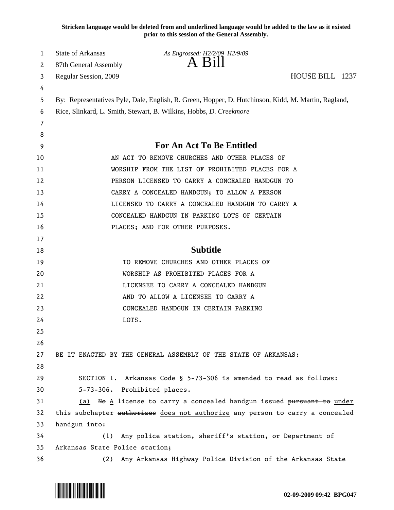**Stricken language would be deleted from and underlined language would be added to the law as it existed prior to this session of the General Assembly.**

| 1  | <b>State of Arkansas</b>                                                                            | As Engrossed: H2/2/09 H2/9/09                                                 |                 |  |
|----|-----------------------------------------------------------------------------------------------------|-------------------------------------------------------------------------------|-----------------|--|
| 2  | 87th General Assembly                                                                               | A Bill                                                                        |                 |  |
| 3  | Regular Session, 2009                                                                               |                                                                               | HOUSE BILL 1237 |  |
| 4  |                                                                                                     |                                                                               |                 |  |
| 5  | By: Representatives Pyle, Dale, English, R. Green, Hopper, D. Hutchinson, Kidd, M. Martin, Ragland, |                                                                               |                 |  |
| 6  | Rice, Slinkard, L. Smith, Stewart, B. Wilkins, Hobbs, D. Creekmore                                  |                                                                               |                 |  |
| 7  |                                                                                                     |                                                                               |                 |  |
| 8  |                                                                                                     |                                                                               |                 |  |
| 9  | <b>For An Act To Be Entitled</b>                                                                    |                                                                               |                 |  |
| 10 | AN ACT TO REMOVE CHURCHES AND OTHER PLACES OF                                                       |                                                                               |                 |  |
| 11 | WORSHIP FROM THE LIST OF PROHIBITED PLACES FOR A                                                    |                                                                               |                 |  |
| 12 | PERSON LICENSED TO CARRY A CONCEALED HANDGUN TO                                                     |                                                                               |                 |  |
| 13 |                                                                                                     | CARRY A CONCEALED HANDGUN; TO ALLOW A PERSON                                  |                 |  |
| 14 | LICENSED TO CARRY A CONCEALED HANDGUN TO CARRY A                                                    |                                                                               |                 |  |
| 15 | CONCEALED HANDGUN IN PARKING LOTS OF CERTAIN                                                        |                                                                               |                 |  |
| 16 |                                                                                                     | PLACES; AND FOR OTHER PURPOSES.                                               |                 |  |
| 17 |                                                                                                     |                                                                               |                 |  |
| 18 |                                                                                                     | <b>Subtitle</b>                                                               |                 |  |
| 19 |                                                                                                     | TO REMOVE CHURCHES AND OTHER PLACES OF                                        |                 |  |
| 20 | WORSHIP AS PROHIBITED PLACES FOR A                                                                  |                                                                               |                 |  |
| 21 | LICENSEE TO CARRY A CONCEALED HANDGUN                                                               |                                                                               |                 |  |
| 22 |                                                                                                     | AND TO ALLOW A LICENSEE TO CARRY A                                            |                 |  |
| 23 |                                                                                                     | CONCEALED HANDGUN IN CERTAIN PARKING                                          |                 |  |
| 24 | LOTS.                                                                                               |                                                                               |                 |  |
| 25 |                                                                                                     |                                                                               |                 |  |
| 26 |                                                                                                     |                                                                               |                 |  |
| 27 |                                                                                                     | BE IT ENACTED BY THE GENERAL ASSEMBLY OF THE STATE OF ARKANSAS:               |                 |  |
| 28 |                                                                                                     |                                                                               |                 |  |
| 29 |                                                                                                     | SECTION 1. Arkansas Code § 5-73-306 is amended to read as follows:            |                 |  |
| 30 | 5-73-306. Prohibited places.                                                                        |                                                                               |                 |  |
| 31 |                                                                                                     | (a) No A license to carry a concealed handgun issued pursuant to under        |                 |  |
| 32 |                                                                                                     | this subchapter authorizes does not authorize any person to carry a concealed |                 |  |
| 33 | handgun into:                                                                                       |                                                                               |                 |  |
| 34 | (1)                                                                                                 | Any police station, sheriff's station, or Department of                       |                 |  |
| 35 | Arkansas State Police station;                                                                      |                                                                               |                 |  |
| 36 | (2)                                                                                                 | Any Arkansas Highway Police Division of the Arkansas State                    |                 |  |

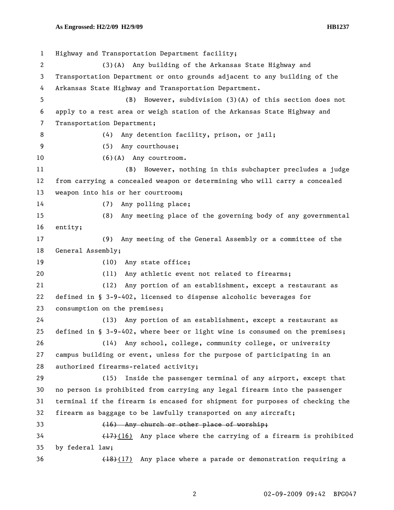1 Highway and Transportation Department facility; 2 (3)(A) Any building of the Arkansas State Highway and 3 Transportation Department or onto grounds adjacent to any building of the 4 Arkansas State Highway and Transportation Department. 5 (B) However, subdivision (3)(A) of this section does not 6 apply to a rest area or weigh station of the Arkansas State Highway and 7 Transportation Department; 8 (4) Any detention facility, prison, or jail; 9 (5) Any courthouse; 10 (6)(A) Any courtroom. 11 (B) However, nothing in this subchapter precludes a judge 12 from carrying a concealed weapon or determining who will carry a concealed 13 weapon into his or her courtroom; 14 (7) Any polling place; 15 (8) Any meeting place of the governing body of any governmental 16 entity; 17 (9) Any meeting of the General Assembly or a committee of the 18 General Assembly; 19 (10) Any state office; 20 (11) Any athletic event not related to firearms; 21 (12) Any portion of an establishment, except a restaurant as 22 defined in § 3-9-402, licensed to dispense alcoholic beverages for 23 consumption on the premises; 24 (13) Any portion of an establishment, except a restaurant as 25 defined in § 3-9-402, where beer or light wine is consumed on the premises; 26 (14) Any school, college, community college, or university 27 campus building or event, unless for the purpose of participating in an 28 authorized firearms-related activity; 29 (15) Inside the passenger terminal of any airport, except that 30 no person is prohibited from carrying any legal firearm into the passenger 31 terminal if the firearm is encased for shipment for purposes of checking the 32 firearm as baggage to be lawfully transported on any aircraft; 33 (16) Any church or other place of worship; 34 (17)(16) Any place where the carrying of a firearm is prohibited 35 by federal law; 36 (18)(17) Any place where a parade or demonstration requiring a

2 02-09-2009 09:42 BPG047